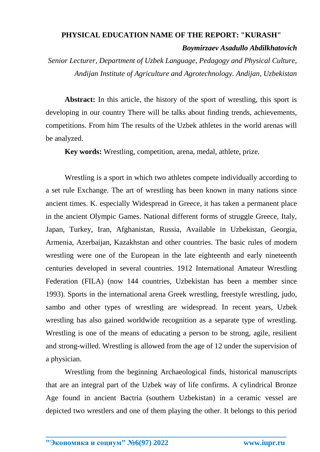## **PHYSICAL EDUCATION NAME OF THE REPORT: "KURASH"** *Boymirzaev Asadullo Abdilkhatovich*

*Senior Lecturer, Department of Uzbek Language, Pedagogy and Physical Culture, Andijan Institute of Agriculture and Agrotechnology. Andijan, Uzbekistan*

Abstract: In this article, the history of the sport of wrestling, this sport is developing in our country There will be talks about finding trends, achievements, competitions. From him The results of the Uzbek athletes in the world arenas will be analyzed.

**Key words:** Wrestling, competition, arena, medal, athlete, prize.

Wrestling is a sport in which two athletes compete individually according to a set rule Exchange. The art of wrestling has been known in many nations since ancient times. K. especially Widespread in Greece, it has taken a permanent place in the ancient Olympic Games. National different forms of struggle Greece, Italy, Japan, Turkey, Iran, Afghanistan, Russia, Available in Uzbekistan, Georgia, Armenia, Azerbaijan, Kazakhstan and other countries. The basic rules of modern wrestling were one of the European in the late eighteenth and early nineteenth centuries developed in several countries. 1912 International Amateur Wrestling Federation (FILA) (now 144 countries, Uzbekistan has been a member since 1993). Sports in the international arena Greek wrestling, freestyle wrestling, judo, sambo and other types of wrestling are widespread. In recent years, Uzbek wrestling has also gained worldwide recognition as a separate type of wrestling. Wrestling is one of the means of educating a person to be strong, agile, resilient and strong-willed. Wrestling is allowed from the age of 12 under the supervision of a physician.

Wrestling from the beginning Archaeological finds, historical manuscripts that are an integral part of the Uzbek way of life confirms. A cylindrical Bronze Age found in ancient Bactria (southern Uzbekistan) in a ceramic vessel are depicted two wrestlers and one of them playing the other. It belongs to this period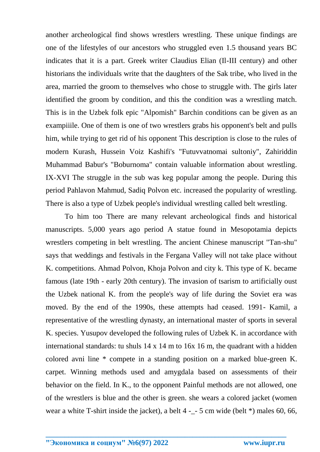another archeological find shows wrestlers wrestling. These unique findings are one of the lifestyles of our ancestors who struggled even 1.5 thousand years BC indicates that it is a part. Greek writer Claudius Elian (Il-III century) and other historians the individuals write that the daughters of the Sak tribe, who lived in the area, married the groom to themselves who chose to struggle with. The girls later identified the groom by condition, and this the condition was a wrestling match. This is in the Uzbek folk epic "Alpomish" Barchin conditions can be given as an exampiiile. One of them is one of two wrestlers grabs his opponent's belt and pulls him, while trying to get rid of his opponent This description is close to the rules of modern Kurash, Hussein Voiz Kashifi's "Futuvvatnomai sultoniy", Zahiriddin Muhammad Babur's "Boburnoma" contain valuable information about wrestling. IX-XVI The struggle in the sub was keg popular among the people. During this period Pahlavon Mahmud, Sadiq Polvon etc. increased the popularity of wrestling. There is also a type of Uzbek people's individual wrestling called belt wrestling.

To him too There are many relevant archeological finds and historical manuscripts. 5,000 years ago period A statue found in Mesopotamia depicts wrestlers competing in belt wrestling. The ancient Chinese manuscript "Tan-shu" says that weddings and festivals in the Fergana Valley will not take place without K. competitions. Ahmad Polvon, Khoja Polvon and city k. This type of K. became famous (late 19th - early 20th century). The invasion of tsarism to artificially oust the Uzbek national K. from the people's way of life during the Soviet era was moved. By the end of the 1990s, these attempts had ceased. 1991- Kamil, a representative of the wrestling dynasty, an international master of sports in several K. species. Yusupov developed the following rules of Uzbek K. in accordance with international standards: tu shuls 14 x 14 m to 16x 16 m, the quadrant with a hidden colored avni line \* compete in a standing position on a marked blue-green K. carpet. Winning methods used and amygdala based on assessments of their behavior on the field. In K., to the opponent Painful methods are not allowed, one of the wrestlers is blue and the other is green. she wears a colored jacket (women wear a white T-shirt inside the jacket), a belt 4 -\_- 5 cm wide (belt \*) males 60, 66,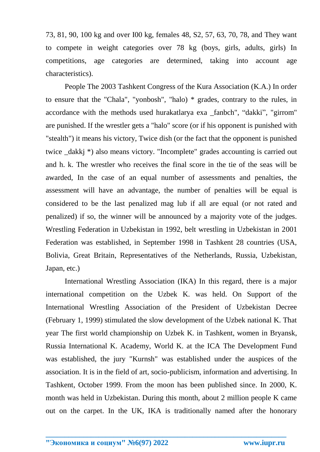73, 81, 90, 100 kg and over I00 kg, females 48, S2, 57, 63, 70, 78, and They want to compete in weight categories over 78 kg (boys, girls, adults, girls) In competitions, age categories are determined, taking into account age characteristics).

People The 2003 Tashkent Congress of the Kura Association (K.A.) In order to ensure that the "Chala", "yonbosh", "halo) \* grades, contrary to the rules, in accordance with the methods used hurakatlarya exa \_fanbch", "dakki", "girrom" are punished. If the wrestler gets a "halo" score (or if his opponent is punished with "stealth") it means his victory, Twice dish (or the fact that the opponent is punished twice \_dakkj \*) also means victory. "Incomplete" grades accounting is carried out and h. k. The wrestler who receives the final score in the tie of the seas will be awarded, In the case of an equal number of assessments and penalties, the assessment will have an advantage, the number of penalties will be equal is considered to be the last penalized mag lub if all are equal (or not rated and penalized) if so, the winner will be announced by a majority vote of the judges. Wrestling Federation in Uzbekistan in 1992, belt wrestling in Uzbekistan in 2001 Federation was established, in September 1998 in Tashkent 28 countries (USA, Bolivia, Great Britain, Representatives of the Netherlands, Russia, Uzbekistan, Japan, etc.)

International Wrestling Association (IKA) In this regard, there is a major international competition on the Uzbek K. was held. On Support of the International Wrestling Association of the President of Uzbekistan Decree (February 1, 1999) stimulated the slow development of the Uzbek national K. That year The first world championship on Uzbek K. in Tashkent, women in Bryansk, Russia International K. Academy, World K. at the ICA The Development Fund was established, the jury "Kurnsh" was established under the auspices of the association. It is in the field of art, socio-publicism, information and advertising. In Tashkent, October 1999. From the moon has been published since. In 2000, K. month was held in Uzbekistan. During this month, about 2 million people K came out on the carpet. In the UK, IKA is traditionally named after the honorary